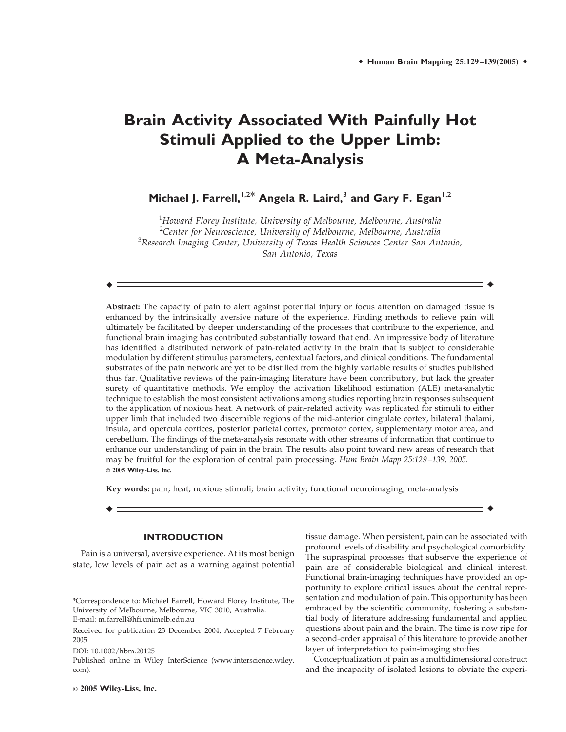# **Brain Activity Associated With Painfully Hot Stimuli Applied to the Upper Limb: A Meta-Analysis**

**Michael J. Farrell,**1,2\* **Angela R. Laird,**<sup>3</sup> **and Gary F. Egan**1,2

1 *Howard Florey Institute, University of Melbourne, Melbourne, Australia* <sup>2</sup> *Center for Neuroscience, University of Melbourne, Melbourne, Australia* 3 *Research Imaging Center, University of Texas Health Sciences Center San Antonio, San Antonio, Texas*

 $\blacklozenge$  . In the contract of the contract of the contract of the contract of the contract of the contract of the contract of the contract of the contract of the contract of the contract of the contract of the contract of

**Abstract:** The capacity of pain to alert against potential injury or focus attention on damaged tissue is enhanced by the intrinsically aversive nature of the experience. Finding methods to relieve pain will ultimately be facilitated by deeper understanding of the processes that contribute to the experience, and functional brain imaging has contributed substantially toward that end. An impressive body of literature has identified a distributed network of pain-related activity in the brain that is subject to considerable modulation by different stimulus parameters, contextual factors, and clinical conditions. The fundamental substrates of the pain network are yet to be distilled from the highly variable results of studies published thus far. Qualitative reviews of the pain-imaging literature have been contributory, but lack the greater surety of quantitative methods. We employ the activation likelihood estimation (ALE) meta-analytic technique to establish the most consistent activations among studies reporting brain responses subsequent to the application of noxious heat. A network of pain-related activity was replicated for stimuli to either upper limb that included two discernible regions of the mid-anterior cingulate cortex, bilateral thalami, insula, and opercula cortices, posterior parietal cortex, premotor cortex, supplementary motor area, and cerebellum. The findings of the meta-analysis resonate with other streams of information that continue to enhance our understanding of pain in the brain. The results also point toward new areas of research that may be fruitful for the exploration of central pain processing. *Hum Brain Mapp 25:129–139, 2005.* © **2005 Wiley-Liss, Inc.**

**Key words:** pain; heat; noxious stimuli; brain activity; functional neuroimaging; meta-analysis

 $\blacklozenge$  . In the contract of the contract of the contract of the contract of the contract of the contract of the contract of the contract of the contract of the contract of the contract of the contract of the contract of

**INTRODUCTION**

Pain is a universal, aversive experience. At its most benign state, low levels of pain act as a warning against potential

DOI: 10.1002/hbm.20125

© **2005 Wiley-Liss, Inc.**

tissue damage. When persistent, pain can be associated with profound levels of disability and psychological comorbidity. The supraspinal processes that subserve the experience of pain are of considerable biological and clinical interest. Functional brain-imaging techniques have provided an opportunity to explore critical issues about the central representation and modulation of pain. This opportunity has been embraced by the scientific community, fostering a substantial body of literature addressing fundamental and applied questions about pain and the brain. The time is now ripe for a second-order appraisal of this literature to provide another layer of interpretation to pain-imaging studies.

Conceptualization of pain as a multidimensional construct and the incapacity of isolated lesions to obviate the experi-

<sup>\*</sup>Correspondence to: Michael Farrell, Howard Florey Institute, The University of Melbourne, Melbourne, VIC 3010, Australia. E-mail: m.farrell@hfi.unimelb.edu.au

Received for publication 23 December 2004; Accepted 7 February 2005

Published online in Wiley InterScience (www.interscience.wiley. com).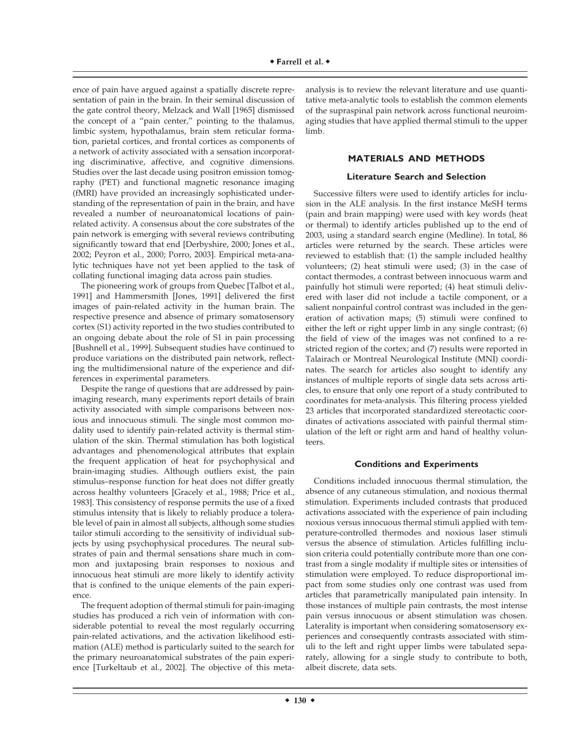ence of pain have argued against a spatially discrete representation of pain in the brain. In their seminal discussion of the gate control theory, Melzack and Wall [1965] dismissed the concept of a "pain center," pointing to the thalamus, limbic system, hypothalamus, brain stem reticular formation, parietal cortices, and frontal cortices as components of a network of activity associated with a sensation incorporating discriminative, affective, and cognitive dimensions. Studies over the last decade using positron emission tomography (PET) and functional magnetic resonance imaging (fMRI) have provided an increasingly sophisticated understanding of the representation of pain in the brain, and have revealed a number of neuroanatomical locations of painrelated activity. A consensus about the core substrates of the pain network is emerging with several reviews contributing significantly toward that end [Derbyshire, 2000; Jones et al., 2002; Peyron et al., 2000; Porro, 2003]. Empirical meta-analytic techniques have not yet been applied to the task of collating functional imaging data across pain studies.

The pioneering work of groups from Quebec [Talbot et al., 1991] and Hammersmith [Jones, 1991] delivered the first images of pain-related activity in the human brain. The respective presence and absence of primary somatosensory cortex (S1) activity reported in the two studies contributed to an ongoing debate about the role of S1 in pain processing [Bushnell et al., 1999]. Subsequent studies have continued to produce variations on the distributed pain network, reflecting the multidimensional nature of the experience and differences in experimental parameters.

Despite the range of questions that are addressed by painimaging research, many experiments report details of brain activity associated with simple comparisons between noxious and innocuous stimuli. The single most common modality used to identify pain-related activity is thermal stimulation of the skin. Thermal stimulation has both logistical advantages and phenomenological attributes that explain the frequent application of heat for psychophysical and brain-imaging studies. Although outliers exist, the pain stimulus–response function for heat does not differ greatly across healthy volunteers [Gracely et al., 1988; Price et al., 1983]. This consistency of response permits the use of a fixed stimulus intensity that is likely to reliably produce a tolerable level of pain in almost all subjects, although some studies tailor stimuli according to the sensitivity of individual subjects by using psychophysical procedures. The neural substrates of pain and thermal sensations share much in common and juxtaposing brain responses to noxious and innocuous heat stimuli are more likely to identify activity that is confined to the unique elements of the pain experience.

The frequent adoption of thermal stimuli for pain-imaging studies has produced a rich vein of information with considerable potential to reveal the most regularly occurring pain-related activations, and the activation likelihood estimation (ALE) method is particularly suited to the search for the primary neuroanatomical substrates of the pain experience [Turkeltaub et al., 2002]. The objective of this metaanalysis is to review the relevant literature and use quantitative meta-analytic tools to establish the common elements of the supraspinal pain network across functional neuroimaging studies that have applied thermal stimuli to the upper limb.

## **MATERIALS AND METHODS**

## **Literature Search and Selection**

Successive filters were used to identify articles for inclusion in the ALE analysis. In the first instance MeSH terms (pain and brain mapping) were used with key words (heat or thermal) to identify articles published up to the end of 2003, using a standard search engine (Medline). In total, 86 articles were returned by the search. These articles were reviewed to establish that: (1) the sample included healthy volunteers; (2) heat stimuli were used; (3) in the case of contact thermodes, a contrast between innocuous warm and painfully hot stimuli were reported; (4) heat stimuli delivered with laser did not include a tactile component, or a salient nonpainful control contrast was included in the generation of activation maps; (5) stimuli were confined to either the left or right upper limb in any single contrast; (6) the field of view of the images was not confined to a restricted region of the cortex; and (7) results were reported in Talairach or Montreal Neurological Institute (MNI) coordinates. The search for articles also sought to identify any instances of multiple reports of single data sets across articles, to ensure that only one report of a study contributed to coordinates for meta-analysis. This filtering process yielded 23 articles that incorporated standardized stereotactic coordinates of activations associated with painful thermal stimulation of the left or right arm and hand of healthy volunteers.

## **Conditions and Experiments**

Conditions included innocuous thermal stimulation, the absence of any cutaneous stimulation, and noxious thermal stimulation. Experiments included contrasts that produced activations associated with the experience of pain including noxious versus innocuous thermal stimuli applied with temperature-controlled thermodes and noxious laser stimuli versus the absence of stimulation. Articles fulfilling inclusion criteria could potentially contribute more than one contrast from a single modality if multiple sites or intensities of stimulation were employed. To reduce disproportional impact from some studies only one contrast was used from articles that parametrically manipulated pain intensity. In those instances of multiple pain contrasts, the most intense pain versus innocuous or absent stimulation was chosen. Laterality is important when considering somatosensory experiences and consequently contrasts associated with stimuli to the left and right upper limbs were tabulated separately, allowing for a single study to contribute to both, albeit discrete, data sets.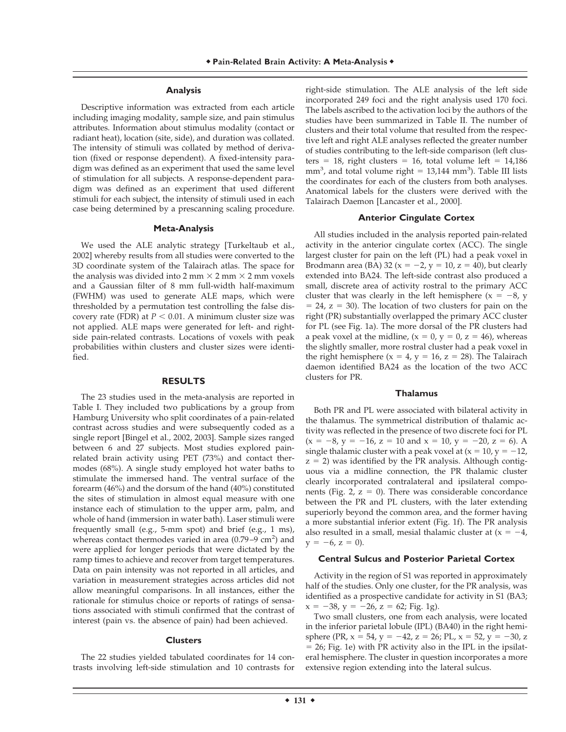## **Analysis**

Descriptive information was extracted from each article including imaging modality, sample size, and pain stimulus attributes. Information about stimulus modality (contact or radiant heat), location (site, side), and duration was collated. The intensity of stimuli was collated by method of derivation (fixed or response dependent). A fixed-intensity paradigm was defined as an experiment that used the same level of stimulation for all subjects. A response-dependent paradigm was defined as an experiment that used different stimuli for each subject, the intensity of stimuli used in each case being determined by a prescanning scaling procedure.

#### **Meta-Analysis**

We used the ALE analytic strategy [Turkeltaub et al., 2002] whereby results from all studies were converted to the 3D coordinate system of the Talairach atlas. The space for the analysis was divided into 2 mm  $\times$  2 mm  $\times$  2 mm voxels and a Gaussian filter of 8 mm full-width half-maximum (FWHM) was used to generate ALE maps, which were thresholded by a permutation test controlling the false discovery rate (FDR) at  $P < 0.01$ . A minimum cluster size was not applied. ALE maps were generated for left- and rightside pain-related contrasts. Locations of voxels with peak probabilities within clusters and cluster sizes were identified.

#### **RESULTS**

The 23 studies used in the meta-analysis are reported in Table I. They included two publications by a group from Hamburg University who split coordinates of a pain-related contrast across studies and were subsequently coded as a single report [Bingel et al., 2002, 2003]. Sample sizes ranged between 6 and 27 subjects. Most studies explored painrelated brain activity using PET (73%) and contact thermodes (68%). A single study employed hot water baths to stimulate the immersed hand. The ventral surface of the forearm (46%) and the dorsum of the hand (40%) constituted the sites of stimulation in almost equal measure with one instance each of stimulation to the upper arm, palm, and whole of hand (immersion in water bath). Laser stimuli were frequently small (e.g., 5-mm spot) and brief (e.g., 1 ms), whereas contact thermodes varied in area  $(0.79 - 9 \text{ cm}^2)$  and were applied for longer periods that were dictated by the ramp times to achieve and recover from target temperatures. Data on pain intensity was not reported in all articles, and variation in measurement strategies across articles did not allow meaningful comparisons. In all instances, either the rationale for stimulus choice or reports of ratings of sensations associated with stimuli confirmed that the contrast of interest (pain vs. the absence of pain) had been achieved.

## **Clusters**

The 22 studies yielded tabulated coordinates for 14 contrasts involving left-side stimulation and 10 contrasts for right-side stimulation. The ALE analysis of the left side incorporated 249 foci and the right analysis used 170 foci. The labels ascribed to the activation loci by the authors of the studies have been summarized in Table II. The number of clusters and their total volume that resulted from the respective left and right ALE analyses reflected the greater number of studies contributing to the left-side comparison (left clusters = 18, right clusters = 16, total volume left =  $14,186$  $mm<sup>3</sup>$ , and total volume right = 13,144 mm<sup>3</sup>). Table III lists the coordinates for each of the clusters from both analyses. Anatomical labels for the clusters were derived with the Talairach Daemon [Lancaster et al., 2000].

#### **Anterior Cingulate Cortex**

All studies included in the analysis reported pain-related activity in the anterior cingulate cortex (ACC). The single largest cluster for pain on the left (PL) had a peak voxel in Brodmann area (BA) 32 ( $x = -2$ ,  $y = 10$ ,  $z = 40$ ), but clearly extended into BA24. The left-side contrast also produced a small, discrete area of activity rostral to the primary ACC cluster that was clearly in the left hemisphere ( $x = -8$ , y  $= 24$ ,  $z = 30$ ). The location of two clusters for pain on the right (PR) substantially overlapped the primary ACC cluster for PL (see Fig. 1a). The more dorsal of the PR clusters had a peak voxel at the midline,  $(x = 0, y = 0, z = 46)$ , whereas the slightly smaller, more rostral cluster had a peak voxel in the right hemisphere ( $x = 4$ ,  $y = 16$ ,  $z = 28$ ). The Talairach daemon identified BA24 as the location of the two ACC clusters for PR.

## **Thalamus**

Both PR and PL were associated with bilateral activity in the thalamus. The symmetrical distribution of thalamic activity was reflected in the presence of two discrete foci for PL  $(x = -8, y = -16, z = 10 \text{ and } x = 10, y = -20, z = 6)$ . A single thalamic cluster with a peak voxel at  $(x = 10, y = -12,$  $z = 2$ ) was identified by the PR analysis. Although contiguous via a midline connection, the PR thalamic cluster clearly incorporated contralateral and ipsilateral components (Fig. 2,  $z = 0$ ). There was considerable concordance between the PR and PL clusters, with the later extending superiorly beyond the common area, and the former having a more substantial inferior extent (Fig. 1f). The PR analysis also resulted in a small, mesial thalamic cluster at  $(x = -4,$  $y = -6$ ,  $z = 0$ ).

## **Central Sulcus and Posterior Parietal Cortex**

Activity in the region of S1 was reported in approximately half of the studies. Only one cluster, for the PR analysis, was identified as a prospective candidate for activity in S1 (BA3;  $x = -38$ ,  $y = -26$ ,  $z = 62$ ; Fig. 1g).

Two small clusters, one from each analysis, were located in the inferior parietal lobule (IPL) (BA40) in the right hemisphere (PR,  $x = 54$ ,  $y = -42$ ,  $z = 26$ ; PL,  $x = 52$ ,  $y = -30$ , z  $= 26$ ; Fig. 1e) with PR activity also in the IPL in the ipsilateral hemisphere. The cluster in question incorporates a more extensive region extending into the lateral sulcus.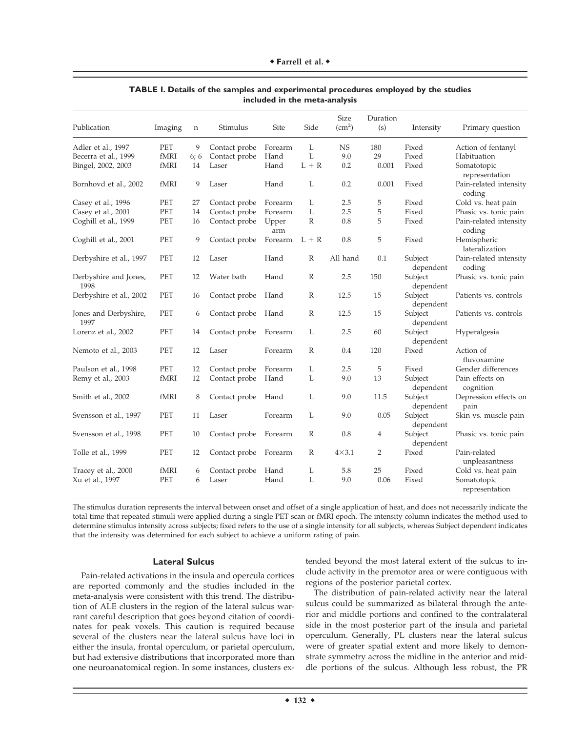## ! **Farrell et al.** !

| Publication                   | Imaging    | $\mathbf n$ | Stimulus              | Site         | Side         | <b>Size</b><br>$\rm (cm^2)$ | Duration<br>(s) | Intensity            | Primary question                 |
|-------------------------------|------------|-------------|-----------------------|--------------|--------------|-----------------------------|-----------------|----------------------|----------------------------------|
| Adler et al., 1997            | <b>PET</b> | 9           | Contact probe         | Forearm      | L            | <b>NS</b>                   | 180             | Fixed                | Action of fentanyl               |
| Becerra et al., 1999          | fMRI       | 6;6         | Contact probe         | Hand         | L            | 9.0                         | 29              | Fixed                | Habituation                      |
| Bingel, 2002, 2003            | fMRI       | 14          | Laser                 | Hand         | $L + R$      | 0.2                         | 0.001           | Fixed                | Somatotopic<br>representation    |
| Bornhovd et al., 2002         | fMRI       | 9           | Laser                 | Hand         | L            | 0.2                         | 0.001           | Fixed                | Pain-related intensity<br>coding |
| Casey et al., 1996            | <b>PET</b> | 27          | Contact probe         | Forearm      | L            | 2.5                         | 5               | Fixed                | Cold vs. heat pain               |
| Casey et al., 2001            | PET        | 14          | Contact probe         | Forearm      | L            | 2.5                         | 5               | Fixed                | Phasic vs. tonic pain            |
| Coghill et al., 1999          | PET        | 16          | Contact probe         | Upper<br>arm | $\mathbb{R}$ | 0.8                         | 5               | Fixed                | Pain-related intensity<br>coding |
| Coghill et al., 2001          | PET        | 9           | Contact probe         | Forearm      | $L + R$      | 0.8                         | 5               | Fixed                | Hemispheric<br>lateralization    |
| Derbyshire et al., 1997       | <b>PET</b> | 12          | Laser                 | Hand         | $\mathbb{R}$ | All hand                    | 0.1             | Subject<br>dependent | Pain-related intensity<br>coding |
| Derbyshire and Jones,<br>1998 | <b>PET</b> | 12          | Water bath            | Hand         | $\mathbb{R}$ | 2.5                         | 150             | Subject<br>dependent | Phasic vs. tonic pain            |
| Derbyshire et al., 2002       | PET        | 16          | Contact probe         | Hand         | $\mathbb{R}$ | 12.5                        | 15              | Subject<br>dependent | Patients vs. controls            |
| Jones and Derbyshire,<br>1997 | <b>PET</b> | 6           | Contact probe         | Hand         | $\mathbb{R}$ | 12.5                        | 15              | Subject<br>dependent | Patients vs. controls            |
| Lorenz et al., 2002           | PET        | 14          | Contact probe         | Forearm      | L            | 2.5                         | 60              | Subject<br>dependent | Hyperalgesia                     |
| Nemoto et al., 2003           | PET        | 12          | Laser                 | Forearm      | $\mathbb{R}$ | 0.4                         | 120             | Fixed                | Action of<br>fluvoxamine         |
| Paulson et al., 1998          | <b>PET</b> | 12          | Contact probe         | Forearm      | L            | 2.5                         | 5               | Fixed                | Gender differences               |
| Remy et al., 2003             | fMRI       | 12          | Contact probe         | Hand         | L            | 9.0                         | 13              | Subject<br>dependent | Pain effects on<br>cognition     |
| Smith et al., 2002            | fMRI       | 8           | Contact probe         | Hand         | L            | 9.0                         | 11.5            | Subject<br>dependent | Depression effects on<br>pain    |
| Svensson et al., 1997         | <b>PET</b> | 11          | Laser                 | Forearm      | L            | 9.0                         | 0.05            | Subject<br>dependent | Skin vs. muscle pain             |
| Svensson et al., 1998         | PET        | 10          | Contact probe         | Forearm      | $\mathbb{R}$ | 0.8                         | $\overline{4}$  | Subject<br>dependent | Phasic vs. tonic pain            |
| Tolle et al., 1999            | PET        | 12          | Contact probe Forearm |              | R            | $4\times3.1$                | 2               | Fixed                | Pain-related<br>unpleasantness   |
| Tracey et al., 2000           | fMRI       | 6           | Contact probe         | Hand         | L            | 5.8                         | 25              | Fixed                | Cold vs. heat pain               |
| Xu et al., 1997               | PET        | 6           | Laser                 | Hand         | L            | 9.0                         | 0.06            | Fixed                | Somatotopic<br>representation    |

#### **TABLE I. Details of the samples and experimental procedures employed by the studies included in the meta-analysis**

The stimulus duration represents the interval between onset and offset of a single application of heat, and does not necessarily indicate the total time that repeated stimuli were applied during a single PET scan or fMRI epoch. The intensity column indicates the method used to determine stimulus intensity across subjects; fixed refers to the use of a single intensity for all subjects, whereas Subject dependent indicates that the intensity was determined for each subject to achieve a uniform rating of pain.

## **Lateral Sulcus**

Pain-related activations in the insula and opercula cortices are reported commonly and the studies included in the meta-analysis were consistent with this trend. The distribution of ALE clusters in the region of the lateral sulcus warrant careful description that goes beyond citation of coordinates for peak voxels. This caution is required because several of the clusters near the lateral sulcus have loci in either the insula, frontal operculum, or parietal operculum, but had extensive distributions that incorporated more than one neuroanatomical region. In some instances, clusters extended beyond the most lateral extent of the sulcus to include activity in the premotor area or were contiguous with regions of the posterior parietal cortex.

The distribution of pain-related activity near the lateral sulcus could be summarized as bilateral through the anterior and middle portions and confined to the contralateral side in the most posterior part of the insula and parietal operculum. Generally, PL clusters near the lateral sulcus were of greater spatial extent and more likely to demonstrate symmetry across the midline in the anterior and middle portions of the sulcus. Although less robust, the PR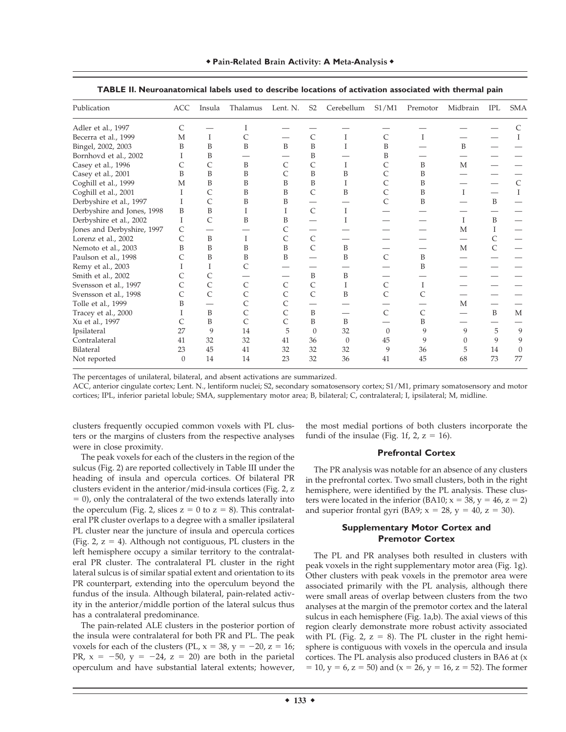| Publication                | ACC      | Insula       | Thalamus | Lent. N.     | S <sub>2</sub> | Cerebellum | S1/M1        | Premotor     | Midbrain | <b>IPL</b>   | <b>SMA</b>   |
|----------------------------|----------|--------------|----------|--------------|----------------|------------|--------------|--------------|----------|--------------|--------------|
| Adler et al., 1997         | C        |              |          |              |                |            |              |              |          |              |              |
| Becerra et al., 1999       | M        | I            |          |              | C              | I          |              |              |          |              | Ι            |
| Bingel, 2002, 2003         | B        | B            | B        | B            | B              |            | B            |              | B        |              |              |
| Bornhovd et al., 2002      |          | B            |          |              | B              |            | B            |              |          |              |              |
| Casey et al., 1996         |          | C            | B        | C            | C              | L          |              | B            | M        |              |              |
| Casey et al., 2001         | B        | B            | B        | C            | B              | B          |              | B            |          |              |              |
| Coghill et al., 1999       | М        | B            | B        | B            | B              |            |              | B            |          |              | $\mathsf{C}$ |
| Coghill et al., 2001       |          | C            | B        | B            | C              | B          |              | B            | I        |              | Ι            |
| Derbyshire et al., 1997    |          | C            | B        | B            |                |            | C            | B            |          | B            |              |
| Derbyshire and Jones, 1998 | B        | B            |          |              | $\mathsf{C}$   | T          |              |              |          |              |              |
| Derbyshire et al., 2002    | Ι        | C            | B        | B            |                |            |              |              | T        | B            |              |
| Jones and Derbyshire, 1997 | C        |              |          | C            |                |            |              |              | M        | I            |              |
| Lorenz et al., 2002        | Ć        | B            |          | C            | $\mathsf{C}$   |            |              |              |          | С            |              |
| Nemoto et al., 2003        | B        | B            | B        | B            | $\mathsf{C}$   | B          |              |              | M        | $\mathsf{C}$ |              |
| Paulson et al., 1998       |          | B            | B        | B            |                | B          | $\mathsf{C}$ | B            |          |              |              |
| Remy et al., 2003          |          |              |          |              |                |            |              | B            |          |              |              |
| Smith et al., 2002         |          | C            |          |              | B              | B          |              |              |          |              |              |
| Svensson et al., 1997      | C        | C            | C        | $\mathsf{C}$ | C              | I          | $\mathsf{C}$ | I            |          |              |              |
| Svensson et al., 1998      | C        | $\mathsf{C}$ | C        | C            | $\mathsf{C}$   | B          | $\mathsf{C}$ |              |          |              |              |
| Tolle et al., 1999         | B        |              |          | C            |                |            |              |              | M        |              |              |
| Tracey et al., 2000        |          | B            |          |              | B              |            | $\mathsf{C}$ | $\mathsf{C}$ |          | B            | M            |
| Xu et al., 1997            |          | B            | C        |              | B              | B          |              | B            |          |              |              |
| Ipsilateral                | 27       | 9            | 14       | 5            | $\theta$       | 32         | $\theta$     | 9            | 9        | 5            | 9            |
| Contralateral              | 41       | 32           | 32       | 41           | 36             | $\Omega$   | 45           | 9            | $\Omega$ | 9            | 9            |
| Bilateral                  | 23       | 45           | 41       | 32           | 32             | 32         | 9            | 36           | 5        | 14           | $\theta$     |
| Not reported               | $\theta$ | 14           | 14       | 23           | 32             | 36         | 41           | 45           | 68       | 73           | 77           |

! **Pain-Related Brain Activity: A Meta-Analysis** !

**TABLE II. Neuroanatomical labels used to describe locations of activation associated with thermal pain**

The percentages of unilateral, bilateral, and absent activations are summarized.

ACC, anterior cingulate cortex; Lent. N., lentiform nuclei; S2, secondary somatosensory cortex; S1/M1, primary somatosensory and motor cortices; IPL, inferior parietal lobule; SMA, supplementary motor area; B, bilateral; C, contralateral; I, ipsilateral; M, midline.

clusters frequently occupied common voxels with PL clusters or the margins of clusters from the respective analyses were in close proximity.

The peak voxels for each of the clusters in the region of the sulcus (Fig. 2) are reported collectively in Table III under the heading of insula and opercula cortices. Of bilateral PR clusters evident in the anterior/mid-insula cortices (Fig. 2, z  $= 0$ ), only the contralateral of the two extends laterally into the operculum (Fig. 2, slices  $z = 0$  to  $z = 8$ ). This contralateral PR cluster overlaps to a degree with a smaller ipsilateral PL cluster near the juncture of insula and opercula cortices (Fig. 2,  $z = 4$ ). Although not contiguous, PL clusters in the left hemisphere occupy a similar territory to the contralateral PR cluster. The contralateral PL cluster in the right lateral sulcus is of similar spatial extent and orientation to its PR counterpart, extending into the operculum beyond the fundus of the insula. Although bilateral, pain-related activity in the anterior/middle portion of the lateral sulcus thus has a contralateral predominance.

The pain-related ALE clusters in the posterior portion of the insula were contralateral for both PR and PL. The peak voxels for each of the clusters (PL,  $x = 38$ ,  $y = -20$ ,  $z = 16$ ; PR,  $x = -50$ ,  $y = -24$ ,  $z = 20$ ) are both in the parietal operculum and have substantial lateral extents; however, the most medial portions of both clusters incorporate the fundi of the insulae (Fig. 1f, 2,  $z = 16$ ).

#### **Prefrontal Cortex**

The PR analysis was notable for an absence of any clusters in the prefrontal cortex. Two small clusters, both in the right hemisphere, were identified by the PL analysis. These clusters were located in the inferior (BA10;  $x = 38$ ,  $y = 46$ ,  $z = 2$ ) and superior frontal gyri (BA9;  $x = 28$ ,  $y = 40$ ,  $z = 30$ ).

## **Supplementary Motor Cortex and Premotor Cortex**

The PL and PR analyses both resulted in clusters with peak voxels in the right supplementary motor area (Fig. 1g). Other clusters with peak voxels in the premotor area were associated primarily with the PL analysis, although there were small areas of overlap between clusters from the two analyses at the margin of the premotor cortex and the lateral sulcus in each hemisphere (Fig. 1a,b). The axial views of this region clearly demonstrate more robust activity associated with PL (Fig. 2,  $z = 8$ ). The PL cluster in the right hemisphere is contiguous with voxels in the opercula and insula cortices. The PL analysis also produced clusters in BA6 at (x  $= 10$ , y = 6, z = 50) and (x = 26, y = 16, z = 52). The former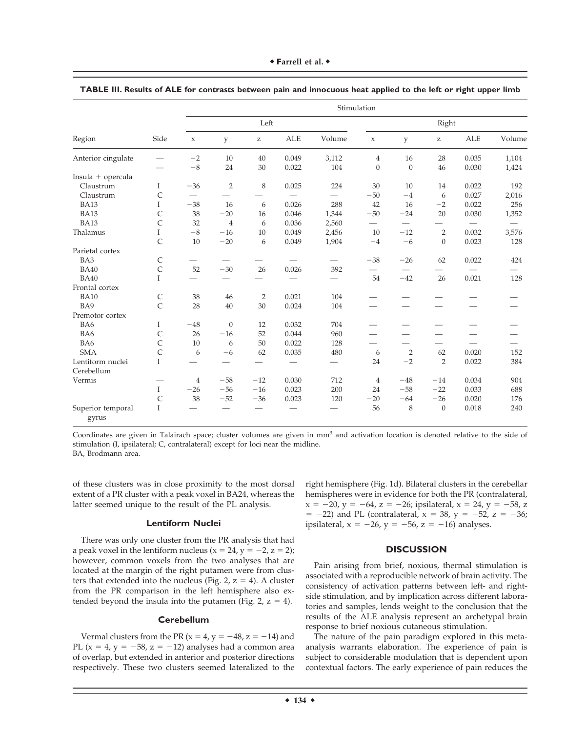|                    |              | Stimulation              |                                 |                                                       |            |                          |                          |                                |                          |       |        |  |
|--------------------|--------------|--------------------------|---------------------------------|-------------------------------------------------------|------------|--------------------------|--------------------------|--------------------------------|--------------------------|-------|--------|--|
| Region             | Side         |                          |                                 |                                                       |            | Right                    |                          |                                |                          |       |        |  |
|                    |              | $\mathbf x$              | y                               | $\mathbf{Z}% ^{T}=\mathbf{Z}^{T}\times\mathbf{Z}^{T}$ | <b>ALE</b> | Volume                   | $\mathsf X$              | y                              | Z                        | ALE   | Volume |  |
| Anterior cingulate |              | $-2$                     | 10                              | 40                                                    | 0.049      | 3,112                    | $\overline{4}$           | 16                             | 28                       | 0.035 | 1,104  |  |
|                    |              | $-8\,$                   | 24                              | $30\,$                                                | 0.022      | 104                      | $\boldsymbol{0}$         | $\theta$                       | 46                       | 0.030 | 1,424  |  |
| Insula + opercula  |              |                          |                                 |                                                       |            |                          |                          |                                |                          |       |        |  |
| Claustrum          | Ι            | $-36$                    | $\overline{2}$                  | 8                                                     | 0.025      | 224                      | 30                       | 10                             | 14                       | 0.022 | 192    |  |
| Claustrum          | $\mathsf{C}$ | $\overline{\phantom{0}}$ |                                 |                                                       |            |                          | $-50$                    | $-4$                           | 6                        | 0.027 | 2,016  |  |
| <b>BA13</b>        | $\mathbf I$  | $-38$                    | 16                              | 6                                                     | 0.026      | 288                      | 42                       | 16                             | $-2$                     | 0.022 | 256    |  |
| <b>BA13</b>        | $\mathsf{C}$ | 38                       | $-20$                           | 16                                                    | 0.046      | 1,344                    | $-50$                    | $-24$                          | 20                       | 0.030 | 1,352  |  |
| <b>BA13</b>        | $\mathsf{C}$ | 32                       | $\overline{4}$                  | 6                                                     | 0.036      | 2,560                    |                          |                                |                          |       |        |  |
| Thalamus           | L            | $-8$                     | $-16$                           | 10                                                    | 0.049      | 2,456                    | 10                       | $-12$                          | 2                        | 0.032 | 3,576  |  |
|                    | $\mathsf{C}$ | 10                       | $-20$                           | 6                                                     | 0.049      | 1,904                    | $-4$                     | $-6$                           | $\mathbf{0}$             | 0.023 | 128    |  |
| Parietal cortex    |              |                          |                                 |                                                       |            |                          |                          |                                |                          |       |        |  |
| BA3                | $\mathsf C$  |                          | $\hspace{0.1mm}-\hspace{0.1mm}$ |                                                       |            |                          | $-38$                    | $-26$                          | 62                       | 0.022 | 424    |  |
| <b>BA40</b>        | $\mathsf{C}$ | 52                       | $-30$                           | 26                                                    | 0.026      | 392                      | $\overline{\phantom{0}}$ | $\qquad \qquad \longleftarrow$ |                          |       |        |  |
| <b>BA40</b>        | $\mathbf{I}$ |                          | —                               |                                                       |            | $\overline{\phantom{0}}$ | 54                       | $-42$                          | 26                       | 0.021 | 128    |  |
| Frontal cortex     |              |                          |                                 |                                                       |            |                          |                          |                                |                          |       |        |  |
| <b>BA10</b>        | $\mathsf{C}$ | 38                       | 46                              | $\overline{2}$                                        | 0.021      | 104                      | $\overline{\phantom{0}}$ |                                |                          |       |        |  |
| BA9                | $\mathsf{C}$ | 28                       | 40                              | 30                                                    | 0.024      | 104                      | $\overline{\phantom{0}}$ |                                |                          |       |        |  |
| Premotor cortex    |              |                          |                                 |                                                       |            |                          |                          |                                |                          |       |        |  |
| BA6                | $\mathbf I$  | $-48$                    | $\mathbf{0}$                    | 12                                                    | 0.032      | 704                      |                          |                                |                          |       |        |  |
| BA6                | $\mathsf{C}$ | 26                       | $-16$                           | 52                                                    | 0.044      | 960                      | $\overline{\phantom{0}}$ |                                |                          |       |        |  |
| BA6                | $\mathsf{C}$ | 10                       | 6                               | 50                                                    | 0.022      | 128                      | $\overline{\phantom{0}}$ |                                | $\overline{\phantom{0}}$ |       |        |  |
| <b>SMA</b>         | $\mathsf{C}$ | 6                        | $-6$                            | 62                                                    | 0.035      | 480                      | 6                        | $\overline{2}$                 | 62                       | 0.020 | 152    |  |
| Lentiform nuclei   | L            |                          |                                 |                                                       |            |                          | 24                       | $-2$                           | $\overline{2}$           | 0.022 | 384    |  |
| Cerebellum         |              |                          |                                 |                                                       |            |                          |                          |                                |                          |       |        |  |
| Vermis             |              | 4                        | $-58$                           | $-12$                                                 | 0.030      | 712                      | $\overline{4}$           | $-48$                          | $-14$                    | 0.034 | 904    |  |
|                    | $\mathbf{I}$ | $-26$                    | $-56$                           | $-16$                                                 | 0.023      | 200                      | 24                       | $-58$                          | $-22$                    | 0.033 | 688    |  |
|                    | $\mathsf{C}$ | 38                       | $-52$                           | $-36$                                                 | 0.023      | 120                      | $-20$                    | $-64$                          | $-26$                    | 0.020 | 176    |  |
| Superior temporal  | T            |                          |                                 |                                                       |            |                          | 56                       | 8                              | $\theta$                 | 0.018 | 240    |  |

## TABLE III. Results of ALE for contrasts between pain and innocuous heat applied to the left or right upper limb

! **Farrell et al.** !

Coordinates are given in Talairach space; cluster volumes are given in mm<sup>3</sup> and activation location is denoted relative to the side of stimulation (I, ipsilateral; C, contralateral) except for loci near the midline. BA, Brodmann area.

of these clusters was in close proximity to the most dorsal extent of a PR cluster with a peak voxel in BA24, whereas the latter seemed unique to the result of the PL analysis.

gyrus

## **Lentiform Nuclei**

There was only one cluster from the PR analysis that had a peak voxel in the lentiform nucleus ( $x = 24$ ,  $y = -2$ ,  $z = 2$ ); however, common voxels from the two analyses that are located at the margin of the right putamen were from clusters that extended into the nucleus (Fig. 2,  $z = 4$ ). A cluster from the PR comparison in the left hemisphere also extended beyond the insula into the putamen (Fig.  $2$ ,  $z = 4$ ).

#### **Cerebellum**

Vermal clusters from the PR ( $x = 4$ ,  $y = -48$ ,  $z = -14$ ) and PL ( $x = 4$ ,  $y = -58$ ,  $z = -12$ ) analyses had a common area of overlap, but extended in anterior and posterior directions respectively. These two clusters seemed lateralized to the right hemisphere (Fig. 1d). Bilateral clusters in the cerebellar hemispheres were in evidence for both the PR (contralateral,  $x = -20$ ,  $y = -64$ ,  $z = -26$ ; ipsilateral,  $x = 24$ ,  $y = -58$ , z  $= -22$ ) and PL (contralateral,  $x = 38$ ,  $y = -52$ ,  $z = -36$ ; ipsilateral,  $x = -26$ ,  $y = -56$ ,  $z = -16$ ) analyses.

## **DISCUSSION**

Pain arising from brief, noxious, thermal stimulation is associated with a reproducible network of brain activity. The consistency of activation patterns between left- and rightside stimulation, and by implication across different laboratories and samples, lends weight to the conclusion that the results of the ALE analysis represent an archetypal brain response to brief noxious cutaneous stimulation.

The nature of the pain paradigm explored in this metaanalysis warrants elaboration. The experience of pain is subject to considerable modulation that is dependent upon contextual factors. The early experience of pain reduces the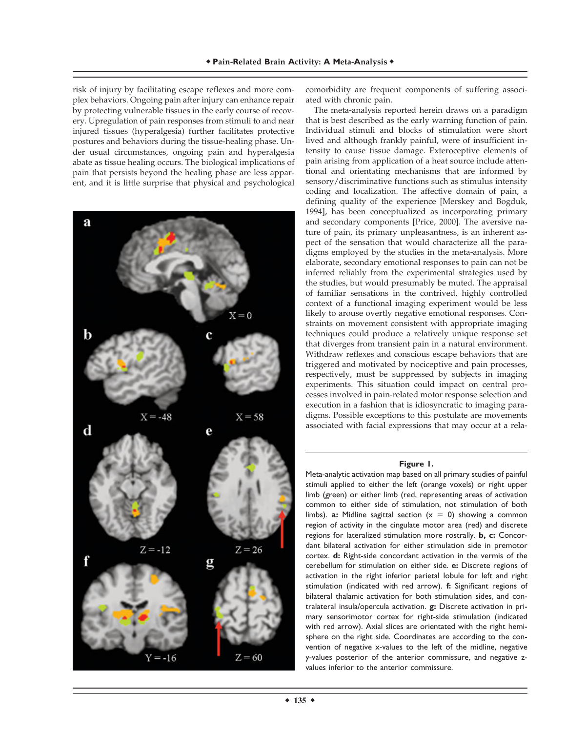risk of injury by facilitating escape reflexes and more complex behaviors. Ongoing pain after injury can enhance repair by protecting vulnerable tissues in the early course of recovery. Upregulation of pain responses from stimuli to and near injured tissues (hyperalgesia) further facilitates protective postures and behaviors during the tissue-healing phase. Under usual circumstances, ongoing pain and hyperalgesia abate as tissue healing occurs. The biological implications of pain that persists beyond the healing phase are less apparent, and it is little surprise that physical and psychological



comorbidity are frequent components of suffering associated with chronic pain.

The meta-analysis reported herein draws on a paradigm that is best described as the early warning function of pain. Individual stimuli and blocks of stimulation were short lived and although frankly painful, were of insufficient intensity to cause tissue damage. Exteroceptive elements of pain arising from application of a heat source include attentional and orientating mechanisms that are informed by sensory/discriminative functions such as stimulus intensity coding and localization. The affective domain of pain, a defining quality of the experience [Merskey and Bogduk, 1994], has been conceptualized as incorporating primary and secondary components [Price, 2000]. The aversive nature of pain, its primary unpleasantness, is an inherent aspect of the sensation that would characterize all the paradigms employed by the studies in the meta-analysis. More elaborate, secondary emotional responses to pain can not be inferred reliably from the experimental strategies used by the studies, but would presumably be muted. The appraisal of familiar sensations in the contrived, highly controlled context of a functional imaging experiment would be less likely to arouse overtly negative emotional responses. Constraints on movement consistent with appropriate imaging techniques could produce a relatively unique response set that diverges from transient pain in a natural environment. Withdraw reflexes and conscious escape behaviors that are triggered and motivated by nociceptive and pain processes, respectively, must be suppressed by subjects in imaging experiments. This situation could impact on central processes involved in pain-related motor response selection and execution in a fashion that is idiosyncratic to imaging paradigms. Possible exceptions to this postulate are movements associated with facial expressions that may occur at a rela-

## **Figure 1.**

Meta-analytic activation map based on all primary studies of painful stimuli applied to either the left (orange voxels) or right upper limb (green) or either limb (red, representing areas of activation common to either side of stimulation, not stimulation of both limbs). **a:** Midline sagittal section  $(x = 0)$  showing a common region of activity in the cingulate motor area (red) and discrete regions for lateralized stimulation more rostrally. **b, c:** Concordant bilateral activation for either stimulation side in premotor cortex. **d:** Right-side concordant activation in the vermis of the cerebellum for stimulation on either side. **e:** Discrete regions of activation in the right inferior parietal lobule for left and right stimulation (indicated with red arrow). **f:** Significant regions of bilateral thalamic activation for both stimulation sides, and contralateral insula/opercula activation. **g:** Discrete activation in primary sensorimotor cortex for right-side stimulation (indicated with red arrow). Axial slices are orientated with the right hemisphere on the right side. Coordinates are according to the convention of negative x-values to the left of the midline, negative y-values posterior of the anterior commissure, and negative zvalues inferior to the anterior commissure.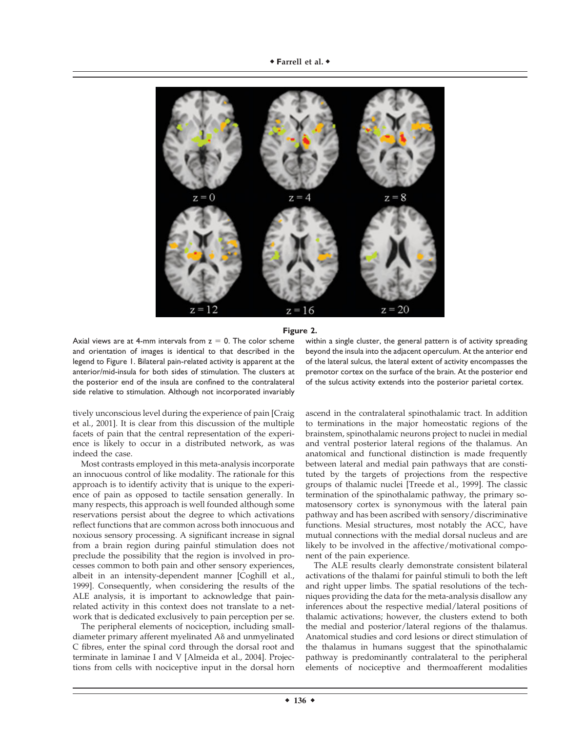

#### **Figure 2.**

Axial views are at 4-mm intervals from  $z = 0$ . The color scheme and orientation of images is identical to that described in the legend to Figure 1. Bilateral pain-related activity is apparent at the anterior/mid-insula for both sides of stimulation. The clusters at the posterior end of the insula are confined to the contralateral side relative to stimulation. Although not incorporated invariably

tively unconscious level during the experience of pain [Craig et al., 2001]. It is clear from this discussion of the multiple facets of pain that the central representation of the experience is likely to occur in a distributed network, as was indeed the case.

Most contrasts employed in this meta-analysis incorporate an innocuous control of like modality. The rationale for this approach is to identify activity that is unique to the experience of pain as opposed to tactile sensation generally. In many respects, this approach is well founded although some reservations persist about the degree to which activations reflect functions that are common across both innocuous and noxious sensory processing. A significant increase in signal from a brain region during painful stimulation does not preclude the possibility that the region is involved in processes common to both pain and other sensory experiences, albeit in an intensity-dependent manner [Coghill et al., 1999]. Consequently, when considering the results of the ALE analysis, it is important to acknowledge that painrelated activity in this context does not translate to a network that is dedicated exclusively to pain perception per se.

The peripheral elements of nociception, including smalldiameter primary afferent myelinated A& and unmyelinated C fibres, enter the spinal cord through the dorsal root and terminate in laminae I and V [Almeida et al., 2004]. Projections from cells with nociceptive input in the dorsal horn within a single cluster, the general pattern is of activity spreading beyond the insula into the adjacent operculum. At the anterior end of the lateral sulcus, the lateral extent of activity encompasses the premotor cortex on the surface of the brain. At the posterior end of the sulcus activity extends into the posterior parietal cortex.

ascend in the contralateral spinothalamic tract. In addition to terminations in the major homeostatic regions of the brainstem, spinothalamic neurons project to nuclei in medial and ventral posterior lateral regions of the thalamus. An anatomical and functional distinction is made frequently between lateral and medial pain pathways that are constituted by the targets of projections from the respective groups of thalamic nuclei [Treede et al., 1999]. The classic termination of the spinothalamic pathway, the primary somatosensory cortex is synonymous with the lateral pain pathway and has been ascribed with sensory/discriminative functions. Mesial structures, most notably the ACC, have mutual connections with the medial dorsal nucleus and are likely to be involved in the affective/motivational component of the pain experience.

The ALE results clearly demonstrate consistent bilateral activations of the thalami for painful stimuli to both the left and right upper limbs. The spatial resolutions of the techniques providing the data for the meta-analysis disallow any inferences about the respective medial/lateral positions of thalamic activations; however, the clusters extend to both the medial and posterior/lateral regions of the thalamus. Anatomical studies and cord lesions or direct stimulation of the thalamus in humans suggest that the spinothalamic pathway is predominantly contralateral to the peripheral elements of nociceptive and thermoafferent modalities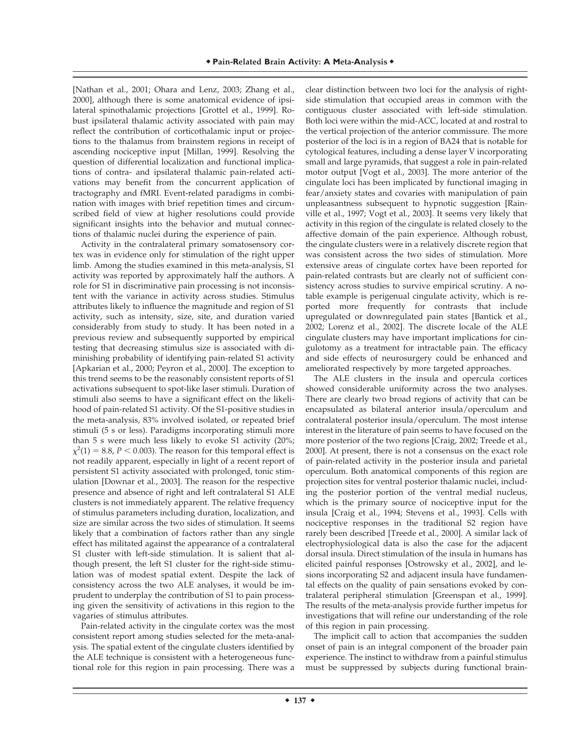[Nathan et al., 2001; Ohara and Lenz, 2003; Zhang et al., 2000], although there is some anatomical evidence of ipsilateral spinothalamic projections [Grottel et al., 1999]. Robust ipsilateral thalamic activity associated with pain may reflect the contribution of corticothalamic input or projections to the thalamus from brainstem regions in receipt of ascending nociceptive input [Millan, 1999]. Resolving the question of differential localization and functional implications of contra- and ipsilateral thalamic pain-related activations may benefit from the concurrent application of tractography and fMRI. Event-related paradigms in combination with images with brief repetition times and circumscribed field of view at higher resolutions could provide significant insights into the behavior and mutual connections of thalamic nuclei during the experience of pain.

Activity in the contralateral primary somatosensory cortex was in evidence only for stimulation of the right upper limb. Among the studies examined in this meta-analysis, S1 activity was reported by approximately half the authors. A role for S1 in discriminative pain processing is not inconsistent with the variance in activity across studies. Stimulus attributes likely to influence the magnitude and region of S1 activity, such as intensity, size, site, and duration varied considerably from study to study. It has been noted in a previous review and subsequently supported by empirical testing that decreasing stimulus size is associated with diminishing probability of identifying pain-related S1 activity [Apkarian et al., 2000; Peyron et al., 2000]. The exception to this trend seems to be the reasonably consistent reports of S1 activations subsequent to spot-like laser stimuli. Duration of stimuli also seems to have a significant effect on the likelihood of pain-related S1 activity. Of the S1-positive studies in the meta-analysis, 83% involved isolated, or repeated brief stimuli (5 s or less). Paradigms incorporating stimuli more than 5 s were much less likely to evoke S1 activity (20%;  $\chi^2(1) = 8.8, P < 0.003$ ). The reason for this temporal effect is not readily apparent, especially in light of a recent report of persistent S1 activity associated with prolonged, tonic stimulation [Downar et al., 2003]. The reason for the respective presence and absence of right and left contralateral S1 ALE clusters is not immediately apparent. The relative frequency of stimulus parameters including duration, localization, and size are similar across the two sides of stimulation. It seems likely that a combination of factors rather than any single effect has militated against the appearance of a contralateral S1 cluster with left-side stimulation. It is salient that although present, the left S1 cluster for the right-side stimulation was of modest spatial extent. Despite the lack of consistency across the two ALE analyses, it would be imprudent to underplay the contribution of S1 to pain processing given the sensitivity of activations in this region to the vagaries of stimulus attributes.

Pain-related activity in the cingulate cortex was the most consistent report among studies selected for the meta-analysis. The spatial extent of the cingulate clusters identified by the ALE technique is consistent with a heterogeneous functional role for this region in pain processing. There was a

clear distinction between two loci for the analysis of rightside stimulation that occupied areas in common with the contiguous cluster associated with left-side stimulation. Both loci were within the mid-ACC, located at and rostral to the vertical projection of the anterior commissure. The more posterior of the loci is in a region of BA24 that is notable for cytological features, including a dense layer V incorporating small and large pyramids, that suggest a role in pain-related motor output [Vogt et al., 2003]. The more anterior of the cingulate loci has been implicated by functional imaging in fear/anxiety states and covaries with manipulation of pain unpleasantness subsequent to hypnotic suggestion [Rainville et al., 1997; Vogt et al., 2003]. It seems very likely that activity in this region of the cingulate is related closely to the affective domain of the pain experience. Although robust, the cingulate clusters were in a relatively discrete region that was consistent across the two sides of stimulation. More extensive areas of cingulate cortex have been reported for pain-related contrasts but are clearly not of sufficient consistency across studies to survive empirical scrutiny. A notable example is perigenual cingulate activity, which is reported more frequently for contrasts that include upregulated or downregulated pain states [Bantick et al., 2002; Lorenz et al., 2002]. The discrete locale of the ALE cingulate clusters may have important implications for cingulotomy as a treatment for intractable pain. The efficacy and side effects of neurosurgery could be enhanced and ameliorated respectively by more targeted approaches.

The ALE clusters in the insula and opercula cortices showed considerable uniformity across the two analyses. There are clearly two broad regions of activity that can be encapsulated as bilateral anterior insula/operculum and contralateral posterior insula/operculum. The most intense interest in the literature of pain seems to have focused on the more posterior of the two regions [Craig, 2002; Treede et al., 2000]. At present, there is not a consensus on the exact role of pain-related activity in the posterior insula and parietal operculum. Both anatomical components of this region are projection sites for ventral posterior thalamic nuclei, including the posterior portion of the ventral medial nucleus, which is the primary source of nociceptive input for the insula [Craig et al., 1994; Stevens et al., 1993]. Cells with nociceptive responses in the traditional S2 region have rarely been described [Treede et al., 2000]. A similar lack of electrophysiological data is also the case for the adjacent dorsal insula. Direct stimulation of the insula in humans has elicited painful responses [Ostrowsky et al., 2002], and lesions incorporating S2 and adjacent insula have fundamental effects on the quality of pain sensations evoked by contralateral peripheral stimulation [Greenspan et al., 1999]. The results of the meta-analysis provide further impetus for investigations that will refine our understanding of the role of this region in pain processing.

The implicit call to action that accompanies the sudden onset of pain is an integral component of the broader pain experience. The instinct to withdraw from a painful stimulus must be suppressed by subjects during functional brain-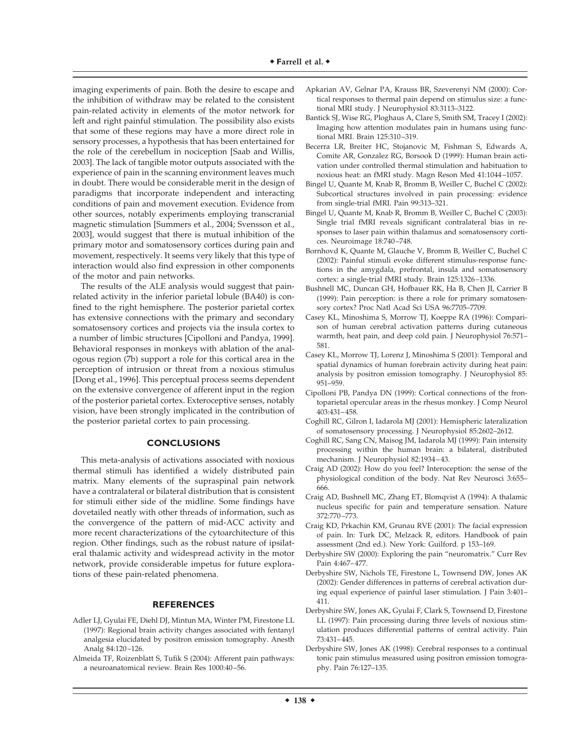imaging experiments of pain. Both the desire to escape and the inhibition of withdraw may be related to the consistent pain-related activity in elements of the motor network for left and right painful stimulation. The possibility also exists that some of these regions may have a more direct role in sensory processes, a hypothesis that has been entertained for the role of the cerebellum in nociception [Saab and Willis, 2003]. The lack of tangible motor outputs associated with the experience of pain in the scanning environment leaves much in doubt. There would be considerable merit in the design of paradigms that incorporate independent and interacting conditions of pain and movement execution. Evidence from other sources, notably experiments employing transcranial magnetic stimulation [Summers et al., 2004; Svensson et al., 2003], would suggest that there is mutual inhibition of the primary motor and somatosensory cortices during pain and movement, respectively. It seems very likely that this type of interaction would also find expression in other components of the motor and pain networks.

The results of the ALE analysis would suggest that painrelated activity in the inferior parietal lobule (BA40) is confined to the right hemisphere. The posterior parietal cortex has extensive connections with the primary and secondary somatosensory cortices and projects via the insula cortex to a number of limbic structures [Cipolloni and Pandya, 1999]. Behavioral responses in monkeys with ablation of the analogous region (7b) support a role for this cortical area in the perception of intrusion or threat from a noxious stimulus [Dong et al., 1996]. This perceptual process seems dependent on the extensive convergence of afferent input in the region of the posterior parietal cortex. Exteroceptive senses, notably vision, have been strongly implicated in the contribution of the posterior parietal cortex to pain processing.

#### **CONCLUSIONS**

This meta-analysis of activations associated with noxious thermal stimuli has identified a widely distributed pain matrix. Many elements of the supraspinal pain network have a contralateral or bilateral distribution that is consistent for stimuli either side of the midline. Some findings have dovetailed neatly with other threads of information, such as the convergence of the pattern of mid-ACC activity and more recent characterizations of the cytoarchitecture of this region. Other findings, such as the robust nature of ipsilateral thalamic activity and widespread activity in the motor network, provide considerable impetus for future explorations of these pain-related phenomena.

#### **REFERENCES**

- Adler LJ, Gyulai FE, Diehl DJ, Mintun MA, Winter PM, Firestone LL (1997): Regional brain activity changes associated with fentanyl analgesia elucidated by positron emission tomography. Anesth Analg 84:120–126.
- Almeida TF, Roizenblatt S, Tufik S (2004): Afferent pain pathways: a neuroanatomical review. Brain Res 1000:40–56.
- Apkarian AV, Gelnar PA, Krauss BR, Szeverenyi NM (2000): Cortical responses to thermal pain depend on stimulus size: a functional MRI study. J Neurophysiol 83:3113–3122.
- Bantick SJ, Wise RG, Ploghaus A, Clare S, Smith SM, Tracey I (2002): Imaging how attention modulates pain in humans using functional MRI. Brain 125:310–319.
- Becerra LR, Breiter HC, Stojanovic M, Fishman S, Edwards A, Comite AR, Gonzalez RG, Borsook D (1999): Human brain activation under controlled thermal stimulation and habituation to noxious heat: an fMRI study. Magn Reson Med 41:1044–1057.
- Bingel U, Quante M, Knab R, Bromm B, Weiller C, Buchel C (2002): Subcortical structures involved in pain processing: evidence from single-trial fMRI. Pain 99:313–321.
- Bingel U, Quante M, Knab R, Bromm B, Weiller C, Buchel C (2003): Single trial fMRI reveals significant contralateral bias in responses to laser pain within thalamus and somatosensory cortices. Neuroimage 18:740–748.
- Bornhovd K, Quante M, Glauche V, Bromm B, Weiller C, Buchel C (2002): Painful stimuli evoke different stimulus-response functions in the amygdala, prefrontal, insula and somatosensory cortex: a single-trial fMRI study. Brain 125:1326–1336.
- Bushnell MC, Duncan GH, Hofbauer RK, Ha B, Chen JI, Carrier B (1999): Pain perception: is there a role for primary somatosensory cortex? Proc Natl Acad Sci USA 96:7705–7709.
- Casey KL, Minoshima S, Morrow TJ, Koeppe RA (1996): Comparison of human cerebral activation patterns during cutaneous warmth, heat pain, and deep cold pain. J Neurophysiol 76:571– 581.
- Casey KL, Morrow TJ, Lorenz J, Minoshima S (2001): Temporal and spatial dynamics of human forebrain activity during heat pain: analysis by positron emission tomography. J Neurophysiol 85: 951–959.
- Cipolloni PB, Pandya DN (1999): Cortical connections of the frontoparietal opercular areas in the rhesus monkey. J Comp Neurol 403:431–458.
- Coghill RC, Gilron I, Iadarola MJ (2001): Hemispheric lateralization of somatosensory processing. J Neurophysiol 85:2602–2612.
- Coghill RC, Sang CN, Maisog JM, Iadarola MJ (1999): Pain intensity processing within the human brain: a bilateral, distributed mechanism. J Neurophysiol 82:1934–43.
- Craig AD (2002): How do you feel? Interoception: the sense of the physiological condition of the body. Nat Rev Neurosci 3:655– 666.
- Craig AD, Bushnell MC, Zhang ET, Blomqvist A (1994): A thalamic nucleus specific for pain and temperature sensation. Nature 372:770–773.
- Craig KD, Prkachin KM, Grunau RVE (2001): The facial expression of pain. In: Turk DC, Melzack R, editors. Handbook of pain assessment (2nd ed.). New York: Guilford. p 153–169.
- Derbyshire SW (2000): Exploring the pain "neuromatrix." Curr Rev Pain 4:467–477.
- Derbyshire SW, Nichols TE, Firestone L, Townsend DW, Jones AK (2002): Gender differences in patterns of cerebral activation during equal experience of painful laser stimulation. J Pain 3:401– 411.
- Derbyshire SW, Jones AK, Gyulai F, Clark S, Townsend D, Firestone LL (1997): Pain processing during three levels of noxious stimulation produces differential patterns of central activity. Pain 73:431–445.
- Derbyshire SW, Jones AK (1998): Cerebral responses to a continual tonic pain stimulus measured using positron emission tomography. Pain 76:127–135.